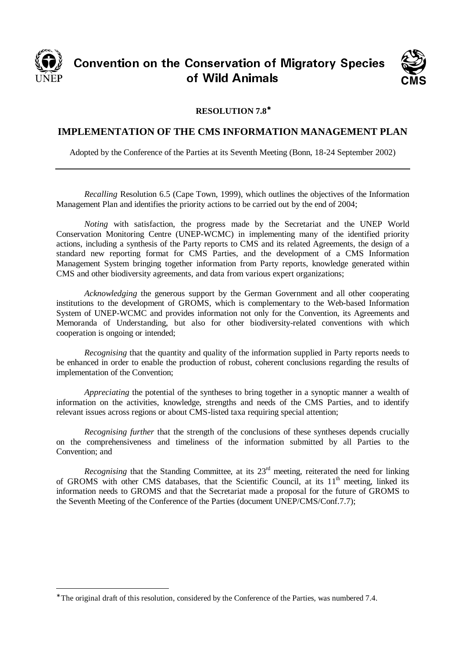

CONVENTION ON THE CONSERVATION OF MIGRACITY OPECIES nservation o<br>Mild Asimel UT YYIN ATIITIAIS



## **RESOLUTION 7.8**<sup>∗</sup>

## **IMPLEMENTATION OF THE CMS INFORMATION MANAGEMENT PLAN**

Adopted by the Conference of the Parties at its Seventh Meeting (Bonn, 18-24 September 2002)

*Recalling* Resolution 6.5 (Cape Town, 1999), which outlines the objectives of the Information Management Plan and identifies the priority actions to be carried out by the end of 2004;

*Noting* with satisfaction, the progress made by the Secretariat and the UNEP World Conservation Monitoring Centre (UNEP-WCMC) in implementing many of the identified priority actions, including a synthesis of the Party reports to CMS and its related Agreements, the design of a standard new reporting format for CMS Parties, and the development of a CMS Information Management System bringing together information from Party reports, knowledge generated within CMS and other biodiversity agreements, and data from various expert organizations;

*Acknowledging* the generous support by the German Government and all other cooperating institutions to the development of GROMS, which is complementary to the Web-based Information System of UNEP-WCMC and provides information not only for the Convention, its Agreements and Memoranda of Understanding, but also for other biodiversity-related conventions with which cooperation is ongoing or intended;

*Recognising* that the quantity and quality of the information supplied in Party reports needs to be enhanced in order to enable the production of robust, coherent conclusions regarding the results of implementation of the Convention;

*Appreciating* the potential of the syntheses to bring together in a synoptic manner a wealth of information on the activities, knowledge, strengths and needs of the CMS Parties, and to identify relevant issues across regions or about CMS-listed taxa requiring special attention;

*Recognising further* that the strength of the conclusions of these syntheses depends crucially on the comprehensiveness and timeliness of the information submitted by all Parties to the Convention; and

*Recognising* that the Standing Committee, at its 23<sup>rd</sup> meeting, reiterated the need for linking of GROMS with other CMS databases, that the Scientific Council, at its 11<sup>th</sup> meeting, linked its information needs to GROMS and that the Secretariat made a proposal for the future of GROMS to the Seventh Meeting of the Conference of the Parties (document UNEP/CMS/Conf.7.7);

<sup>∗</sup> The original draft of this resolution, considered by the Conference of the Parties, was numbered 7.4.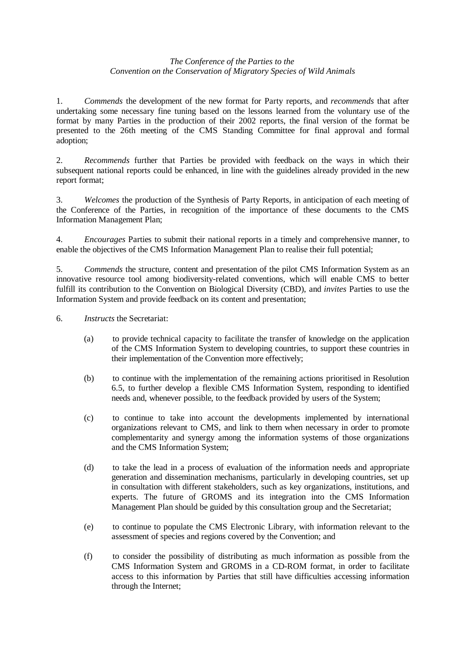## *The Conference of the Parties to the Convention on the Conservation of Migratory Species of Wild Animals*

1. *Commends* the development of the new format for Party reports, and *recommends* that after undertaking some necessary fine tuning based on the lessons learned from the voluntary use of the format by many Parties in the production of their 2002 reports, the final version of the format be presented to the 26th meeting of the CMS Standing Committee for final approval and formal adoption;

2. *Recommends* further that Parties be provided with feedback on the ways in which their subsequent national reports could be enhanced, in line with the guidelines already provided in the new report format;

3. *Welcomes* the production of the Synthesis of Party Reports, in anticipation of each meeting of the Conference of the Parties, in recognition of the importance of these documents to the CMS Information Management Plan;

4. *Encourages* Parties to submit their national reports in a timely and comprehensive manner, to enable the objectives of the CMS Information Management Plan to realise their full potential;

5. *Commends* the structure, content and presentation of the pilot CMS Information System as an innovative resource tool among biodiversity-related conventions, which will enable CMS to better fulfill its contribution to the Convention on Biological Diversity (CBD), and *invites* Parties to use the Information System and provide feedback on its content and presentation;

6. *Instructs* the Secretariat:

- (a) to provide technical capacity to facilitate the transfer of knowledge on the application of the CMS Information System to developing countries, to support these countries in their implementation of the Convention more effectively;
- (b) to continue with the implementation of the remaining actions prioritised in Resolution 6.5, to further develop a flexible CMS Information System, responding to identified needs and, whenever possible, to the feedback provided by users of the System;
- (c) to continue to take into account the developments implemented by international organizations relevant to CMS, and link to them when necessary in order to promote complementarity and synergy among the information systems of those organizations and the CMS Information System;
- (d) to take the lead in a process of evaluation of the information needs and appropriate generation and dissemination mechanisms, particularly in developing countries, set up in consultation with different stakeholders, such as key organizations, institutions, and experts. The future of GROMS and its integration into the CMS Information Management Plan should be guided by this consultation group and the Secretariat;
- (e) to continue to populate the CMS Electronic Library, with information relevant to the assessment of species and regions covered by the Convention; and
- (f) to consider the possibility of distributing as much information as possible from the CMS Information System and GROMS in a CD-ROM format, in order to facilitate access to this information by Parties that still have difficulties accessing information through the Internet;